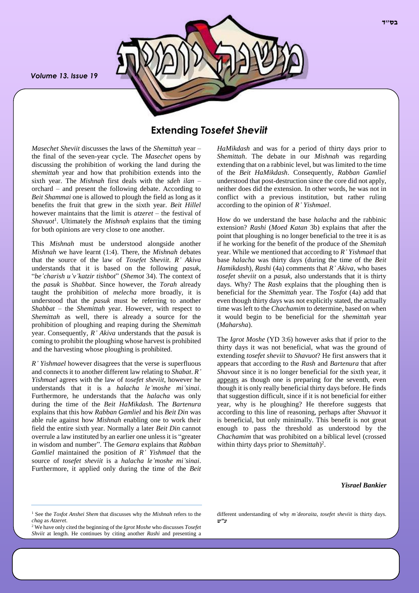*Volume 13. Issue 19*



## **Extending** *Tosefet Sheviit*

*Masechet Sheviit* discusses the laws of the *Shemittah* year – the final of the seven-year cycle. The *Masechet* opens by discussing the prohibition of working the land during the *shemittah* year and how that prohibition extends into the sixth year. The *Mishnah* first deals with the *sdeh ilan* – orchard – and present the following debate. According to *Beit Shammai* one is allowed to plough the field as long as it benefits the fruit that grew in the sixth year. *Beit Hillel* however maintains that the limit is *atzeret* – the festival of *Shavuot*<sup>1</sup> . Ultimately the *Mishnah* explains that the timing for both opinions are very close to one another.

This *Mishnah* must be understood alongside another *Mishnah* we have learnt (1:4). There, the *Mishnah* debates that the source of the law of *Tosefet Sheviit*. *R' Akiva* understands that it is based on the following *pasuk*, "*be'charish u'v'katzir tishbot*" (*Shemot* 34). The context of the *pasuk* is *Shabbat*. Since however, the *Torah* already taught the prohibition of *melecha* more broadly, it is understood that the *pasuk* must be referring to another *Shabbat* – the *Shemittah* year. However, with respect to *Shemittah* as well, there is already a source for the prohibition of ploughing and reaping during the *Shemittah* year. Consequently, *R' Akiva* understands that the *pasuk* is coming to prohibit the ploughing whose harvest is prohibited and the harvesting whose ploughing is prohibited.

*R' Yishmael* however disagrees that the verse is superfluous and connects it to another different law relating to *Shabat*. *R' Yishmael* agrees with the law of *tosefet sheviit*, however he understands that it is a *halacha le'moshe mi'sinai*. Furthermore, he understands that the *halacha* was only during the time of the *Beit HaMikdash.* The *Bartenura* explains that this how *Rabban Gamliel* and his *Beit Din* was able rule against how *Mishnah* enabling one to work their field the entire sixth year. Normally a later *Beit Din* cannot overrule a law instituted by an earlier one unless it is "greater in wisdom and number". The *Gemara* explains that *Rabban Gamliel* maintained the position of *R' Yishmael* that the source of *tosefet sheviit* is a *halacha le'moshe mi'sinai*. Furthermore, it applied only during the time of the *Beit*  *HaMikdash* and was for a period of thirty days prior to *Shemittah*. The debate in our *Mishnah* was regarding extending that on a rabbinic level, but was limited to the time of the *Beit HaMikdash*. Consequently, *Rabban Gamliel*  understood that post-destruction since the core did not apply, neither does did the extension. In other words, he was not in conflict with a previous institution, but rather ruling according to the opinion of *R' Yishmael*.

How do we understand the base *halacha* and the rabbinic extension? *Rashi* (*Moed Katan* 3b) explains that after the point that ploughing is no longer beneficial to the tree it is as if he working for the benefit of the produce of the *Shemitah*  year. While we mentioned that according to *R' Yishmael* that base *halacha* was thirty days (during the time of the *Beit Hamikdash*), *Rashi* (4a) comments that *R' Akiva*, who bases *tosefet sheviit* on a *pasuk*, also understands that it is thirty days. Why? The *Rash* explains that the ploughing then is beneficial for the *Shemittah* year. The *Tosfot* (4a) add that even though thirty days was not explicitly stated, the actually time was left to the *Chachamim* to determine, based on when it would begin to be beneficial for the *shemittah* year (*Maharsha*).

The *Igrot Moshe* (YD 3:6) however asks that if prior to the thirty days it was not beneficial, what was the ground of extending *tosefet sheviit* to *Shavuot*? He first answers that it appears that according to the *Rash* and *Bartenura* that after *Shavout* since it is no longer beneficial for the sixth year, it appears as though one is preparing for the seventh, even though it is only really beneficial thirty days before. He finds that suggestion difficult, since if it is not beneficial for either year, why is he ploughing? He therefore suggests that according to this line of reasoning, perhaps after *Shavuot* it is beneficial, but only minimally. This benefit is not great enough to pass the threshold as understood by the *Chachamim* that was prohibited on a biblical level (crossed within thirty days prior to *Shemittah*) 2 .

#### *Yisrael Bankier*

different understanding of why *m'deoraita*, *tosefet sheviit* is thirty days. *ע"ש*

<sup>1</sup> See the *Tosfot Anshei Shem* that discusses why the *Mishnah* refers to the *chag* as *Atzeret*.

<sup>2</sup> We have only cited the beginning of the *Igrot Moshe* who discusses *Tosefet Shviit* at length. He continues by citing another *Rashi* and presenting a